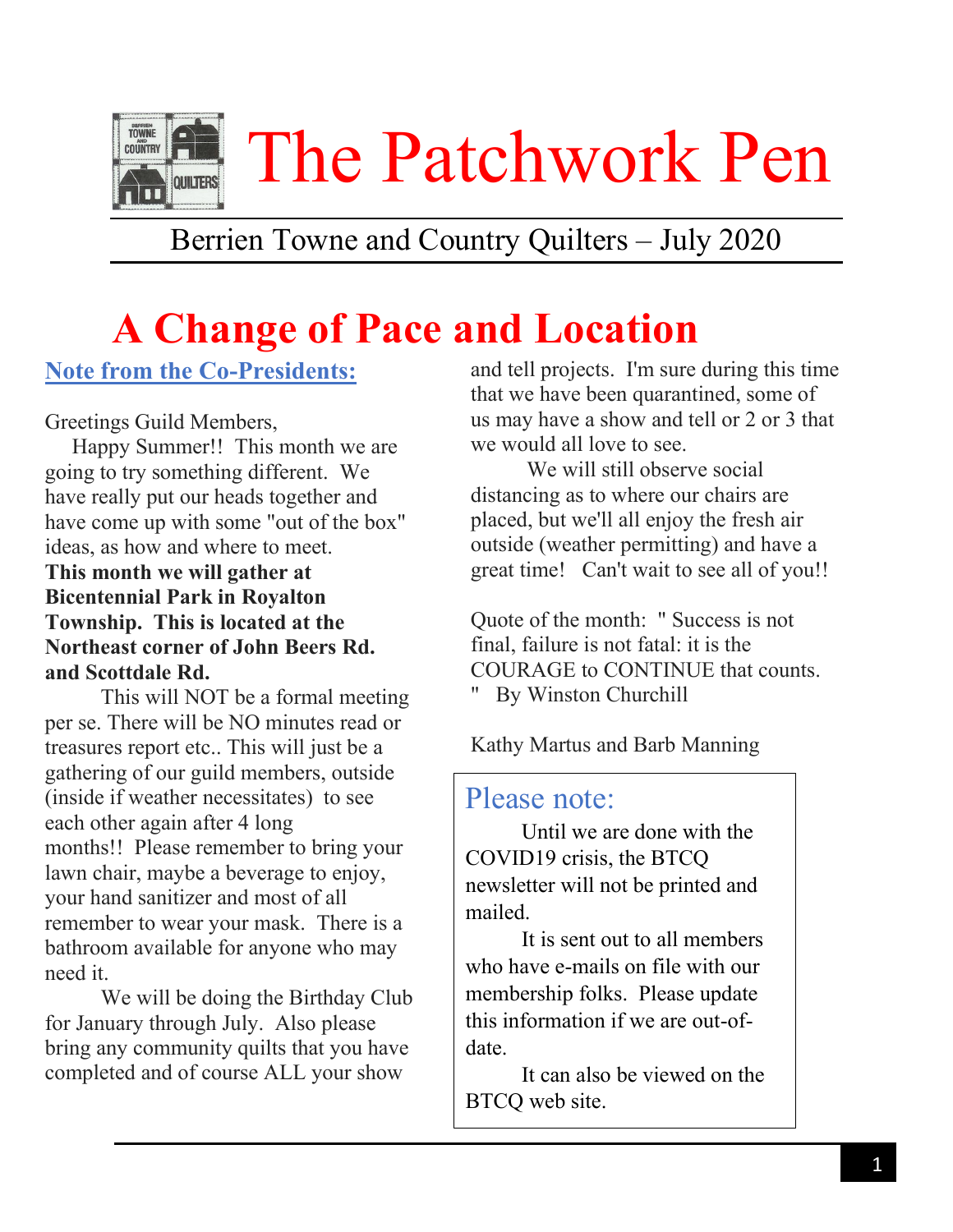

## Berrien Towne and Country Quilters – July 2020

# **A Change of Pace and Location**

#### **Note from the Co-Presidents:**

Greetings Guild Members,

 Happy Summer!! This month we are going to try something different. We have really put our heads together and have come up with some "out of the box" ideas, as how and where to meet.

**This month we will gather at Bicentennial Park in Royalton Township. This is located at the Northeast corner of John Beers Rd. and Scottdale Rd.**

This will NOT be a formal meeting per se. There will be NO minutes read or treasures report etc.. This will just be a gathering of our guild members, outside (inside if weather necessitates) to see each other again after 4 long months!! Please remember to bring your lawn chair, maybe a beverage to enjoy, your hand sanitizer and most of all remember to wear your mask. There is a bathroom available for anyone who may need it.

We will be doing the Birthday Club for January through July. Also please bring any community quilts that you have completed and of course ALL your show

and tell projects. I'm sure during this time that we have been quarantined, some of us may have a show and tell or 2 or 3 that we would all love to see.

We will still observe social distancing as to where our chairs are placed, but we'll all enjoy the fresh air outside (weather permitting) and have a great time! Can't wait to see all of you!!

Quote of the month: " Success is not final, failure is not fatal: it is the COURAGE to CONTINUE that counts. " By Winston Churchill

Kathy Martus and Barb Manning

#### Please note:

Until we are done with the COVID19 crisis, the BTCQ newsletter will not be printed and mailed.

 this information if we are out-of-It is sent out to all members who have e-mails on file with our membership folks. Please update date.

It can also be viewed on the BTCQ web site.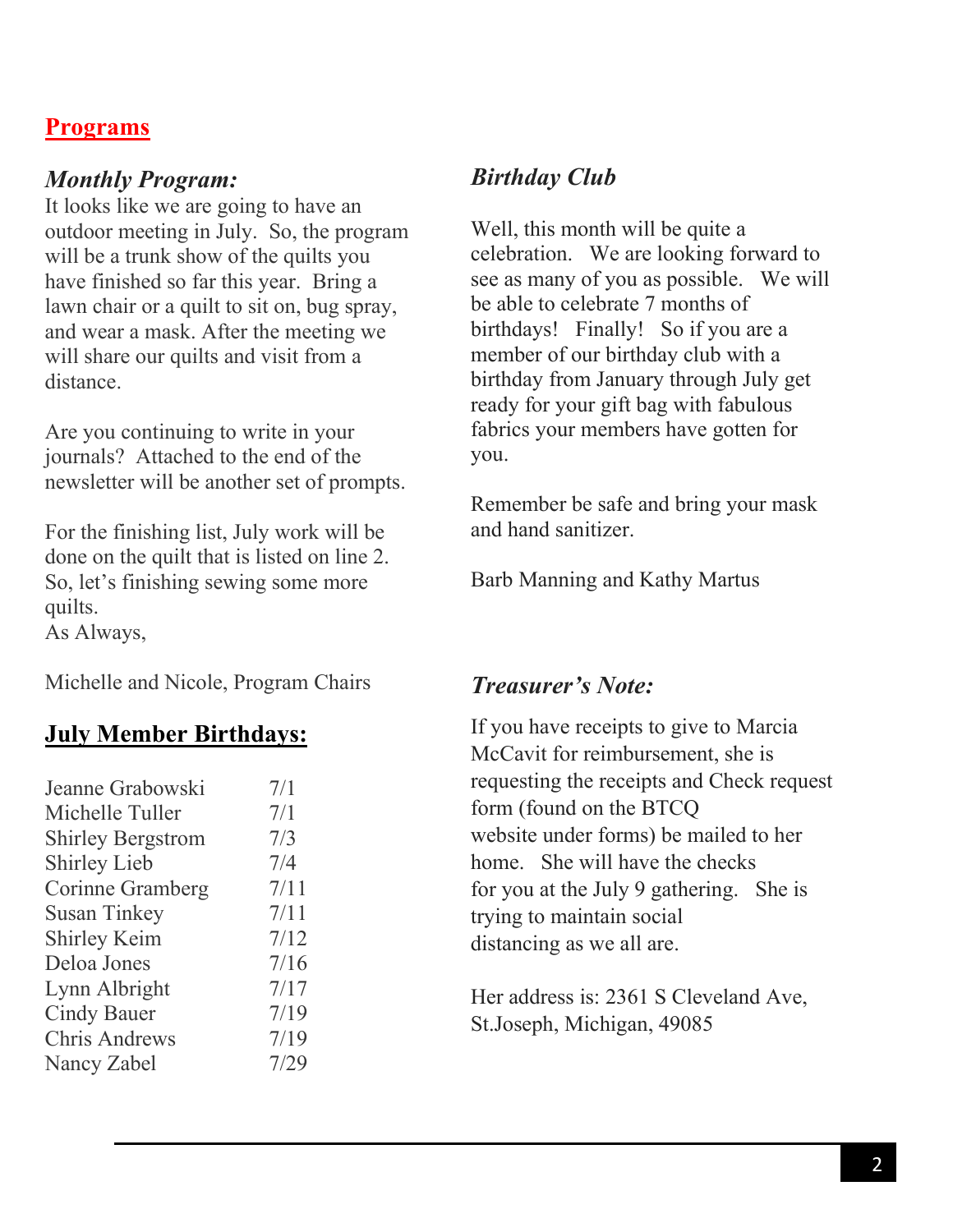#### **Programs**

#### *Monthly Program:*

It looks like we are going to have an outdoor meeting in July. So, the program will be a trunk show of the quilts you have finished so far this year. Bring a lawn chair or a quilt to sit on, bug spray, and wear a mask. After the meeting we will share our quilts and visit from a distance.

Are you continuing to write in your journals? Attached to the end of the newsletter will be another set of prompts.

For the finishing list, July work will be done on the quilt that is listed on line 2. So, let's finishing sewing some more quilts.

As Always,

Michelle and Nicole, Program Chairs

#### **July Member Birthdays:**

| Jeanne Grabowski         | 7/1  |
|--------------------------|------|
| Michelle Tuller          | 7/1  |
| <b>Shirley Bergstrom</b> | 7/3  |
| <b>Shirley Lieb</b>      | 7/4  |
| Corinne Gramberg         | 7/11 |
| <b>Susan Tinkey</b>      | 7/11 |
| <b>Shirley Keim</b>      | 7/12 |
| Deloa Jones              | 7/16 |
| Lynn Albright            | 7/17 |
| <b>Cindy Bauer</b>       | 7/19 |
| <b>Chris Andrews</b>     | 7/19 |
| Nancy Zabel              | 7/29 |
|                          |      |

#### *Birthday Club*

Well, this month will be quite a celebration. We are looking forward to see as many of you as possible. We will be able to celebrate 7 months of birthdays! Finally! So if you are a member of our birthday club with a birthday from January through July get ready for your gift bag with fabulous fabrics your members have gotten for you.

Remember be safe and bring your mask and hand sanitizer.

Barb Manning and Kathy Martus

#### *Treasurer's Note:*

If you have receipts to give to Marcia McCavit for reimbursement, she is requesting the receipts and Check request form (found on the BTCQ website under forms) be mailed to her home. She will have the checks for you at the July 9 gathering. She is trying to maintain social distancing as we all are.

Her address is: 2361 S Cleveland Ave, St.Joseph, Michigan, 49085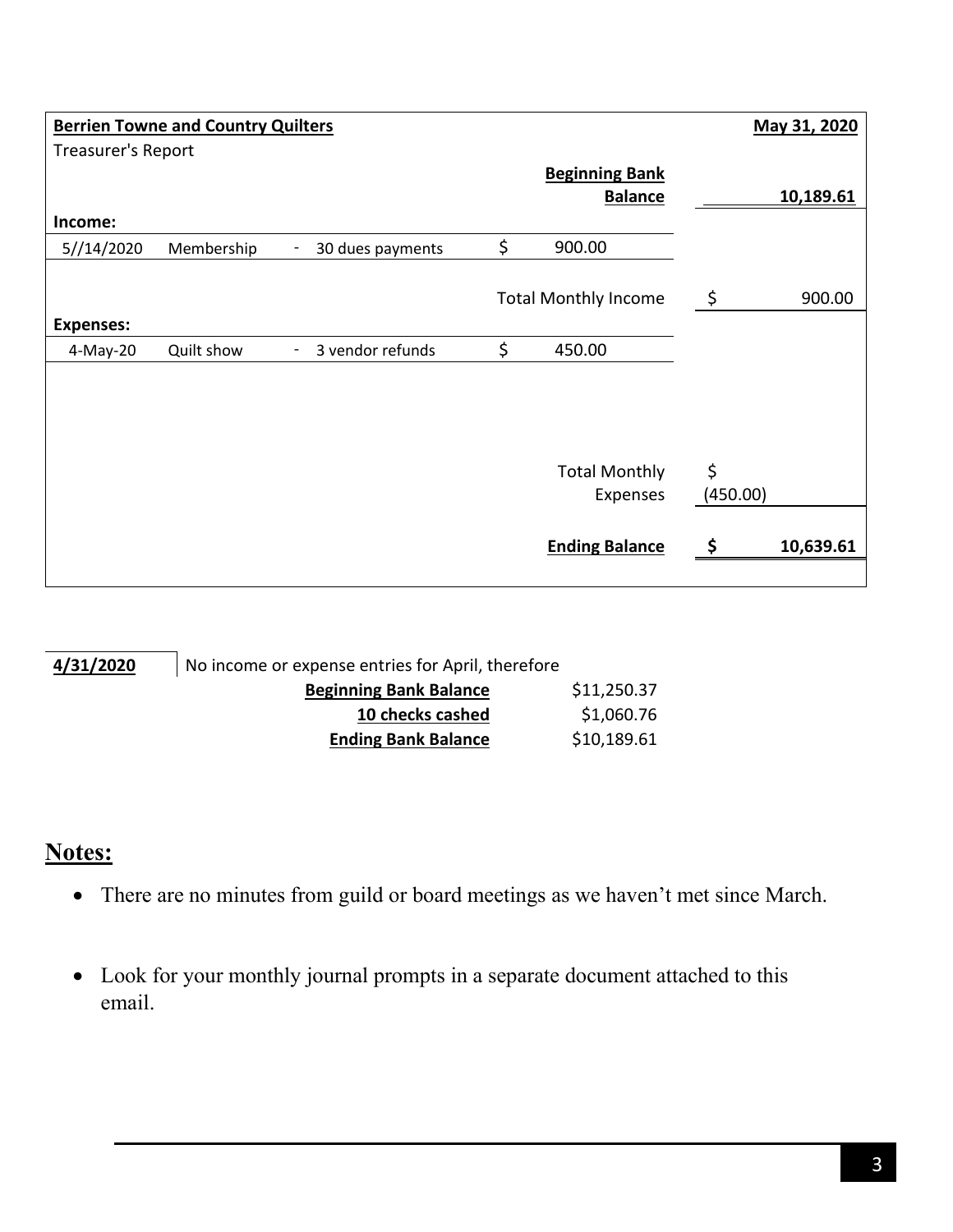|                              | <b>Berrien Towne and Country Quilters</b> |                  |                             |          | May 31, 2020 |
|------------------------------|-------------------------------------------|------------------|-----------------------------|----------|--------------|
| <b>Treasurer's Report</b>    |                                           |                  |                             |          |              |
|                              |                                           |                  | <b>Beginning Bank</b>       |          |              |
| Income:                      |                                           |                  | <b>Balance</b>              |          | 10,189.61    |
| 5//14/2020                   | Membership                                | 30 dues payments | \$<br>900.00                |          |              |
|                              |                                           |                  | <b>Total Monthly Income</b> | \$       | 900.00       |
| <b>Expenses:</b><br>4-May-20 | Quilt show                                | 3 vendor refunds | \$<br>450.00                |          |              |
|                              |                                           |                  |                             |          |              |
|                              |                                           |                  | <b>Total Monthly</b>        | \$       |              |
|                              |                                           |                  | Expenses                    | (450.00) |              |
|                              |                                           |                  | <b>Ending Balance</b>       |          | 10,639.61    |
|                              |                                           |                  |                             |          |              |

| 4/31/2020 | No income or expense entries for April, therefore |             |
|-----------|---------------------------------------------------|-------------|
|           | <b>Beginning Bank Balance</b>                     | \$11,250.37 |
|           | 10 checks cashed                                  | \$1,060.76  |
|           | <b>Ending Bank Balance</b>                        | \$10,189.61 |

### **Notes:**

- There are no minutes from guild or board meetings as we haven't met since March.
- Look for your monthly journal prompts in a separate document attached to this email.